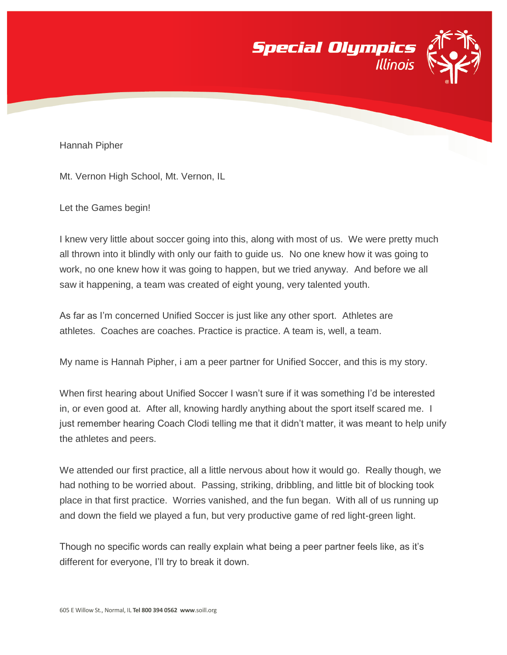



Mt. Vernon High School, Mt. Vernon, IL

Let the Games begin!

I knew very little about soccer going into this, along with most of us. We were pretty much all thrown into it blindly with only our faith to guide us. No one knew how it was going to work, no one knew how it was going to happen, but we tried anyway. And before we all saw it happening, a team was created of eight young, very talented youth.

As far as I'm concerned Unified Soccer is just like any other sport. Athletes are athletes. Coaches are coaches. Practice is practice. A team is, well, a team.

My name is Hannah Pipher, i am a peer partner for Unified Soccer, and this is my story.

When first hearing about Unified Soccer I wasn't sure if it was something I'd be interested in, or even good at. After all, knowing hardly anything about the sport itself scared me. I just remember hearing Coach Clodi telling me that it didn't matter, it was meant to help unify the athletes and peers.

We attended our first practice, all a little nervous about how it would go. Really though, we had nothing to be worried about. Passing, striking, dribbling, and little bit of blocking took place in that first practice. Worries vanished, and the fun began. With all of us running up and down the field we played a fun, but very productive game of red light-green light.

Though no specific words can really explain what being a peer partner feels like, as it's different for everyone, I'll try to break it down.